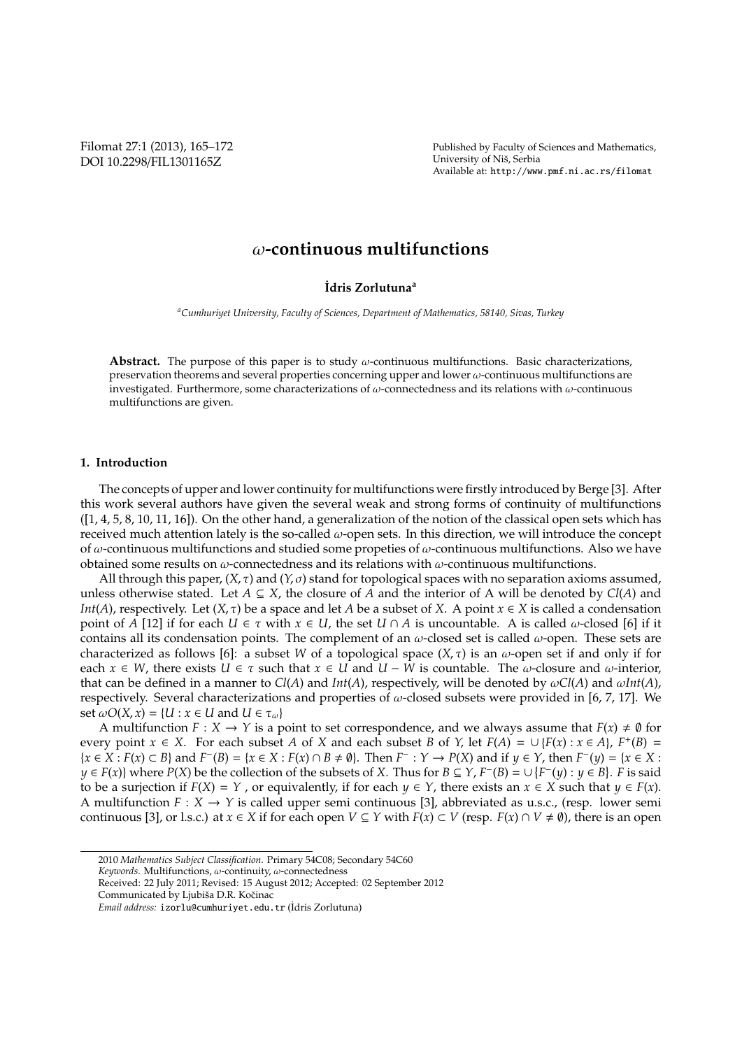Filomat 27:1 (2013), 165–172 DOI 10.2298/FIL1301165Z

Published by Faculty of Sciences and Mathematics, University of Niš, Serbia Available at: http://www.pmf.ni.ac.rs/filomat

# ω**-continuous multifunctions**

#### **˙Idris Zorlutuna<sup>a</sup>**

*<sup>a</sup>Cumhuriyet University, Faculty of Sciences, Department of Mathematics, 58140, Sivas, Turkey*

**Abstract.** The purpose of this paper is to study ω-continuous multifunctions. Basic characterizations, preservation theorems and several properties concerning upper and lower  $\omega$ -continuous multifunctions are investigated. Furthermore, some characterizations of ω-connectedness and its relations with ω-continuous multifunctions are given.

#### **1. Introduction**

The concepts of upper and lower continuity for multifunctions were firstly introduced by Berge [3]. After this work several authors have given the several weak and strong forms of continuity of multifunctions ([1, 4, 5, 8, 10, 11, 16]). On the other hand, a generalization of the notion of the classical open sets which has received much attention lately is the so-called  $\omega$ -open sets. In this direction, we will introduce the concept of  $\omega$ -continuous multifunctions and studied some propeties of  $\omega$ -continuous multifunctions. Also we have obtained some results on  $\omega$ -connectedness and its relations with  $\omega$ -continuous multifunctions.

All through this paper, (*X*, τ) and (*Y*, σ) stand for topological spaces with no separation axioms assumed, unless otherwise stated. Let  $A \subseteq X$ , the closure of A and the interior of A will be denoted by  $Cl(A)$  and *Int*(*A*), respectively. Let  $(X, \tau)$  be a space and let *A* be a subset of *X*. A point  $x \in X$  is called a condensation point of *A* [12] if for each  $U \in \tau$  with  $x \in U$ , the set  $U \cap A$  is uncountable. A is called  $\omega$ -closed [6] if it contains all its condensation points. The complement of an  $\omega$ -closed set is called  $\omega$ -open. These sets are characterized as follows [6]: a subset *W* of a topological space  $(X, \tau)$  is an  $\omega$ -open set if and only if for each  $x \in W$ , there exists  $U \in \tau$  such that  $x \in U$  and  $U - \bar{W}$  is countable. The  $\omega$ -closure and  $\omega$ -interior, that can be defined in a manner to  $Cl(A)$  and  $Int(A)$ , respectively, will be denoted by  $\omega Cl(A)$  and  $\omega Int(A)$ , respectively. Several characterizations and properties of  $\omega$ -closed subsets were provided in [6, 7, 17]. We set  $\omega O(X, x) = \{U : x \in U \text{ and } U \in \tau_{\omega}\}\$ 

A multifunction  $F: X \to Y$  is a point to set correspondence, and we always assume that  $F(x) \neq \emptyset$  for every point  $x \in X$ . For each subset *A* of *X* and each subset *B* of *Y*, let  $F(A) = \bigcup \{F(x) : x \in A\}$ ,  $F^+(B) =$  $\{x \in X : F(x) \subset B\}$  and  $F^{-}(B) = \{x \in X : F(x) \cap B \neq \emptyset\}$ . Then  $F^{-} : Y \to P(X)$  and if  $y \in Y$ , then  $F^{-}(y) = \{x \in X : F(x) \cap B \neq \emptyset\}$ . *y* ∈ *F*(*x*)} where *P*(*X*) be the collection of the subsets of *X*. Thus for *B* ⊆ *Y*, *F*<sup>−</sup>(*B*) = ∪ {*F*<sup>−</sup>(*y*) : *y* ∈ *B*}. *F* is said to be a surjection if  $F(X) = Y$ , or equivalently, if for each  $y \in Y$ , there exists an  $x \in X$  such that  $y \in F(x)$ . A multifunction  $F: X \to Y$  is called upper semi continuous [3], abbreviated as u.s.c., (resp. lower semi continuous [3], or l.s.c.) at  $x \in X$  if for each open  $V \subseteq Y$  with  $F(x) \subset V$  (resp.  $F(x) \cap V \neq \emptyset$ ), there is an open

<sup>2010</sup> *Mathematics Subject Classification*. Primary 54C08; Secondary 54C60

*Keywords*. Multifunctions, ω-continuity, ω-connectedness

Received: 22 July 2011; Revised: 15 August 2012; Accepted: 02 September 2012

Communicated by Ljubiša D.R. Kočinac

*Email address:* izorlu@cumhuriyet.edu.tr ( ˙Idris Zorlutuna)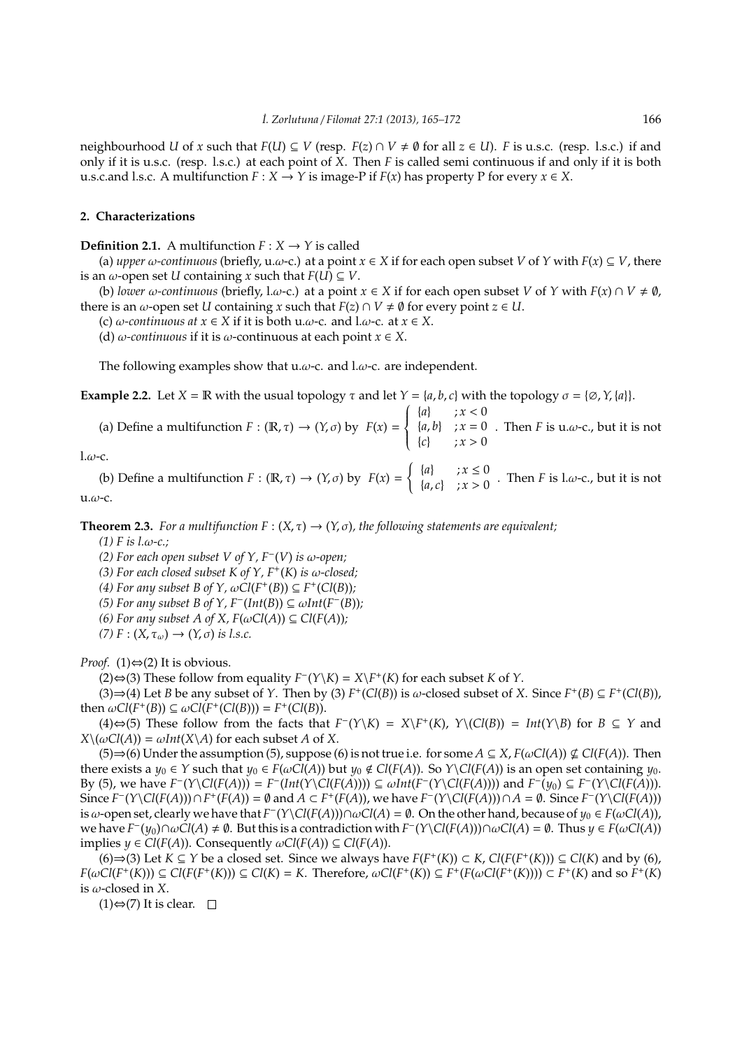neighbourhood *U* of *x* such that  $F(U) \subseteq V$  (resp.  $F(z) \cap V \neq \emptyset$  for all  $z \in U$ ). *F* is u.s.c. (resp. l.s.c.) if and only if it is u.s.c. (resp. l.s.c.) at each point of *X*. Then *F* is called semi continuous if and only if it is both u.s.c.and l.s.c. A multifunction  $F: X \to Y$  is image-P if  $F(x)$  has property P for every  $x \in X$ .

## **2. Characterizations**

**Definition 2.1.** A multifunction  $F: X \rightarrow Y$  is called

(a) *upper*  $\omega$ -continuous (briefly, u. $\omega$ -c.) at a point  $x \in X$  if for each open subset *V* of *Y* with  $F(x) \subseteq V$ , there is an  $\omega$ -open set *U* containing *x* such that  $F(U) \subseteq V$ .

(b) *lower*  $\omega$ -continuous (briefly, l. $\omega$ -c.) at a point  $x \in X$  if for each open subset *V* of *Y* with  $F(x) \cap V \neq \emptyset$ , there is an  $\omega$ -open set *U* containing *x* such that  $F(z) \cap V \neq \emptyset$  for every point  $z \in U$ .

(c)  $\omega$ -continuous at  $x \in X$  if it is both u. $\omega$ -c. and l. $\omega$ -c. at  $x \in X$ .

(d)  $\omega$ -continuous if it is  $\omega$ -continuous at each point  $x \in X$ .

The following examples show that u. $\omega$ -c. and l. $\omega$ -c. are independent.

**Example 2.2.** Let  $X = \mathbb{R}$  with the usual topology  $\tau$  and let  $Y = \{a, b, c\}$  with the topology  $\sigma = \{\emptyset, Y, \{a\}\}.$ 

(a) Define a multifunction  $F : (\mathbb{R}, \tau) \to (Y, \sigma)$  by  $F(x) =$  $\int$  $\overline{\mathcal{L}}$  ${a}$  ;  $x < 0$  ${a, b}$  ;  $x = 0$  ${c}$  ;  $x > 0$ . Then  $F$  is u. $\omega$ -c., but it is not

 $1.\omega$ -c.

(b) Define a multifunction  $F : (\mathbb{R}, \tau) \to (Y, \sigma)$  by  $F(x) =$  $\int \{a\}$  ;  $x \leq 0$  ${a, c}$   $x > 0$ . Then *F* is l.*ω*-c., but it is not  $u.\omega$ -c.

**Theorem 2.3.** *For a multifunction*  $F : (X, \tau) \to (Y, \sigma)$ *, the following statements are equivalent;* 

*(1) F is l.*ω*-c.;*

*(2) For each open subset V of Y, F*<sup>−</sup> (*V*) *is* ω*-open;*

(3) For each closed subset  $K$  of  $Y$ ,  $F^+(K)$  is  $\omega$ -closed;

*(4)* For any subset B of  $Y$ ,  $\omega Cl(F^+(B)) \subseteq F^+(Cl(B))$ ;

(5) For any subset *B* of *Y*,  $F^{-}(Int(B)) \subseteq \omega Int(F^{-}(B))$ ;

*(6) For any subset A of X,*  $F(\omega C l(A)) \subseteq Cl(F(A))$ *;* 

 $(7) F : (X, \tau_{\omega}) \rightarrow (Y, \sigma)$  *is l.s.c.* 

*Proof.* (1) $\Leftrightarrow$  (2) It is obvious.

(2)⇔(3) These follow from equality  $F^{-}(Y \setminus K) = X \setminus F^{+}(K)$  for each subset *K* of *Y*.

(3)  $\Rightarrow$  (4) Let *B* be any subset of *Y*. Then by (3) *F*<sup>+</sup>(*Cl*(*B*)) is ω-closed subset of *X*. Since *F*<sup>+</sup>(*B*) ⊆ *F*<sup>+</sup>(*Cl*(*B*)), then  $\omega Cl(F^+(B)) \subseteq \omega Cl(F^+(Cl(B))) = F^+(Cl(B)).$ 

(4)⇔(5) These follow from the facts that  $F^{-}(Y\K) = X\F^{+}(K)$ ,  $Y\setminus (Cl(B)) = Int(Y\B)$  for  $B \subseteq Y$  and  $X\backslash(\omega\text{Cl}(A)) = \omega Int(X\backslash A)$  for each subset *A* of *X*.

(5)⇒(6) Under the assumption (5), suppose (6) is not true i.e. for some  $A \subseteq X$ ,  $F(\omega Cl(A)) \nsubseteq Cl(F(A))$ . Then there exists a  $y_0 \in Y$  such that  $y_0 \in F(\omega Cl(A))$  but  $y_0 \notin Cl(F(A))$ . So  $Y\setminus Cl(F(A))$  is an open set containing  $y_0$ . By (5), we have  $F^-(Y\setminus Cl(F(A))) = F^-(Int(Y\setminus Cl(F(A)))) \subseteq \omega Int(F^-(Y\setminus Cl(F(A))))$  and  $F^-(y_0) \subseteq F^-(Y\setminus Cl(F(A)))$ . Since  $F^-(Y\setminus Cl(F(A))) \cap F^+(F(A)) = \emptyset$  and  $A \subset F^+(F(A))$ , we have  $F^-(Y\setminus Cl(F(A))) \cap A = \emptyset$ . Since  $F^-(Y\setminus Cl(F(A)))$ is  $\omega$ -open set, clearly we have that  $F^{-}(Y \setminus Cl(F(A))) \cap \omega Cl(A) = \emptyset$ . On the other hand, because of  $y_0 \in F(\omega Cl(A))$ ,  $\alpha$  bave  $F^-(y_0) \cap \omega C l(A) \neq \emptyset$ . But this is a contradiction with  $F^-(Y \setminus Cl(F(A))) \cap \omega Cl(A) = \emptyset$ . Thus  $y \in F(\omega Cl(A))$ implies  $y \in Cl(F(A))$ . Consequently  $\omega Cl(F(A)) \subseteq Cl(F(A))$ .

(6)  $\Rightarrow$  (3) Let *K* ⊆ *Y* be a closed set. Since we always have *F*(*F*<sup>+</sup>(*K*)) ⊂ *K*, *Cl*(*F*(*F*<sup>+</sup>(*K*))) ⊆ *Cl*(*K*) and by (6),  $F(\omega Cl(F^+(K))) \subseteq Cl(F(F^+(K))) \subseteq Cl(K) = K$ . Therefore,  $\omega Cl(F^+(K)) \subseteq F^+(F(\omega Cl(F^+(K)))) \subset F^+(K)$  and so  $F^+(K)$ is  $\omega$ -closed in *X*.

 $(1)$ ⇔ $(7)$  It is clear.  $\Box$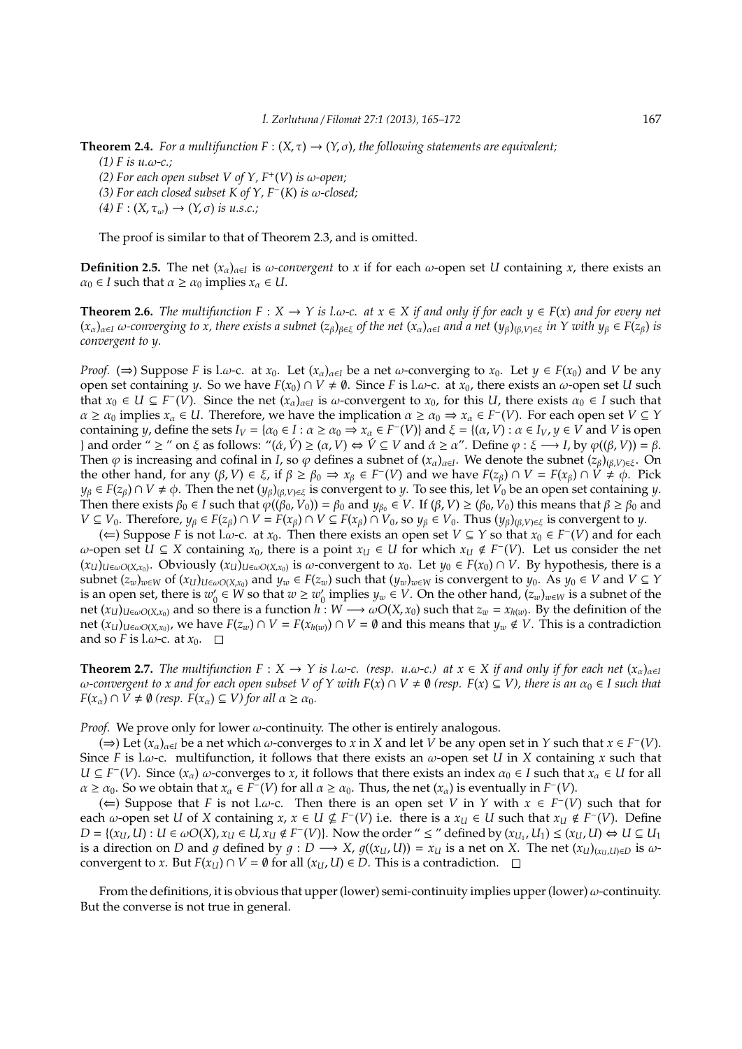**Theorem 2.4.** *For a multifunction*  $F : (X, \tau) \to (Y, \sigma)$ *, the following statements are equivalent;* 

- *(1) F is u.*ω*-c.;*
- *(2) For each open subset V of Y,*  $F^+(V)$  *is*  $\omega$ *-open;*
- *(3) For each closed subset K of Y, F*<sup>−</sup> (*K*) *is* ω*-closed;*
- $(4) F : (X, \tau_{\omega}) \rightarrow (Y, \sigma)$  *is u.s.c.*;

The proof is similar to that of Theorem 2.3, and is omitted.

**Definition 2.5.** The net  $(x_\alpha)_{\alpha \in I}$  is  $\omega$ -convergent to x if for each  $\omega$ -open set *U* containing x, there exists an  $\alpha_0 \in I$  such that  $\alpha \ge \alpha_0$  implies  $x_\alpha \in U$ .

**Theorem 2.6.** *The multifunction*  $F : X → Y$  *is l.ω-c. at*  $x ∈ X$  *if and only if for each*  $y ∈ F(x)$  *and for every net*  $(x_{\alpha})_{\alpha\in I}$   $\omega$ -converging to x, there exists a subnet  $(z_{\beta})_{\beta\in \xi}$  of the net  $(x_{\alpha})_{\alpha\in I}$  and a net  $(y_{\beta})(_{\beta,V})_{\xi\in \xi}$  *in Y with*  $y_{\beta} \in F(z_{\beta})$  *is convergent to y.*

*Proof.* ( $\Rightarrow$ ) Suppose *F* is l.ω-c. at *x*<sub>0</sub>. Let  $(x_\alpha)_{\alpha \in I}$  be a net  $\omega$ -converging to *x*<sub>0</sub>. Let  $y \in F(x_0)$  and *V* be any open set containing *y*. So we have  $F(x_0) \cap V \neq \emptyset$ . Since *F* is l.*ω*-c. at  $x_0$ , there exists an  $\omega$ -open set *U* such that  $x_0 \in U \subseteq F^-(V)$ . Since the net  $(x_\alpha)_{\alpha \in I}$  is  $\omega$ -convergent to  $x_0$ , for this *U*, there exists  $\alpha_0 \in I$  such that  $\alpha \ge \alpha_0$  implies  $x_\alpha \in U$ . Therefore, we have the implication  $\alpha \ge \alpha_0 \Rightarrow x_\alpha \in F^-(V)$ . For each open set  $V \subseteq Y$ containing *y*, define the sets  $I_V = \{ \alpha_0 \in I : \alpha \ge \alpha_0 \Rightarrow x_\alpha \in F^-(V) \}$  and  $\xi = \{ (\alpha, V) : \alpha \in I_V, y \in V \text{ and } V \text{ is open} \}$ } and order "  $\geq$  " on  $\xi$  as follows: " $(\alpha, \hat{V}) \geq (\alpha, V) \Leftrightarrow \hat{V} \subseteq V$  and  $\alpha \geq \alpha$ ". Define  $\varphi : \xi \longrightarrow I$ , by  $\varphi((\beta, V)) = \beta$ . Then  $\varphi$  is increasing and cofinal in *I*, so  $\varphi$  defines a subnet of  $(x_\alpha)_{\alpha\in I}$ . We denote the subnet  $(z_\beta)_{(\beta,V)\in \xi}$ . On the other hand, for any  $(\beta, V) \in \xi$ , if  $\beta \ge \beta_0 \Rightarrow x_\beta \in F^-(V)$  and we have  $F(z_\beta) \cap V = F(x_\beta) \cap V \ne \emptyset$ . Pick  $y_\beta \in F(z_\beta) \cap V \neq \phi$ . Then the net  $(y_\beta)_{(\beta,V)\in \xi}$  is convergent to *y*. To see this, let  $V_0$  be an open set containing *y*. Then there exists  $\beta_0 \in I$  such that  $\varphi((\beta_0, V_0)) = \beta_0$  and  $y_{\beta_0} \in V$ . If  $(\beta, V) \ge (\beta_0, V_0)$  this means that  $\beta \ge \beta_0$  and  $V \subseteq V_0$ . Therefore,  $y_\beta \in F(z_\beta) \cap V = F(x_\beta) \cap V \subseteq F(x_\beta) \cap V_0$ , so  $y_\beta \in V_0$ . Thus  $(y_\beta)_{(\beta,V) \in \xi}$  is convergent to y.

( $\Leftarrow$ ) Suppose *F* is not l.ω-c. at *x*<sub>0</sub>. Then there exists an open set *V* ⊆ *Y* so that *x*<sub>0</sub> ∈ *F*<sup>−</sup>(*V*) and for each  $ω$ -open set  $U ⊆ X$  containing  $x_0$ , there is a point  $x_U ∈ U$  for which  $x_U ∉ F^{-}(V)$ . Let us consider the net  $(x_U)_{U \in \omega O(X, x_0)}$ . Obviously  $(x_U)_{U \in \omega O(X, x_0)}$  is  $\omega$ -convergent to  $x_0$ . Let  $y_0 \in F(x_0) \cap V$ . By hypothesis, there is a subnet  $(z_w)_{w\in W}$  of  $(x_U)_{U\in\omega O(X,x_0)}$  and  $y_w\in F(z_w)$  such that  $(y_w)_{w\in W}$  is convergent to  $y_0$ . As  $y_0\in V$  and  $V\subseteq Y$ is an open set, there is  $w'_0 \in W$  so that  $w \ge w'_0$  implies  $y_w \in V$ . On the other hand,  $(z_w)_{w \in W}$  is a subnet of the net  $(x_U)_{U \in \omega O(X,x_0)}$  and so there is a function  $h: W \longrightarrow \omega O(X,x_0)$  such that  $z_w = x_{h(w)}$ . By the definition of the net  $(x_U)_{U\in\omega O(X,x_0)}$ , we have  $F(z_w)\cap V=F(x_{h(w)})\cap V=\emptyset$  and this means that  $y_w\notin V$ . This is a contradiction and so *F* is l. $\omega$ -c. at  $x_0$ .  $\Box$ 

**Theorem 2.7.** *The multifunction*  $F : X \to Y$  *is l.ω-c. (resp. u.ω-c.) at*  $x \in X$  *if and only if for each net*  $(x_\alpha)_{\alpha \in I}$  $ω$ -convergent to x and for each open subset V of Y with  $F(x) ∩ V ≠ ∅$  (resp.  $F(x) ⊆ V$ ), there is an  $α_0 ∈ I$  such that  $F(x_\alpha) \cap V \neq \emptyset$  (resp.  $F(x_\alpha) \subseteq V$ ) for all  $\alpha \geq \alpha_0$ .

*Proof.* We prove only for lower ω-continuity. The other is entirely analogous.

(⇒) Let  $(x<sub>a</sub>)<sub>a∈I</sub>$  be a net which *ω*-converges to *x* in *X* and let *V* be any open set in *Y* such that *x* ∈ *F*<sup>−</sup>(*V*). Since *F* is l.w-c. multifunction, it follows that there exists an  $\omega$ -open set *U* in *X* containing *x* such that  $U \subseteq F^{-}(V)$ . Since  $(x_{\alpha})$   $\omega$ -converges to *x*, it follows that there exists an index  $\alpha_0 \in I$  such that  $x_{\alpha} \in U$  for all  $\alpha \ge \alpha_0$ . So we obtain that  $x_\alpha \in \overline{F}(V)$  for all  $\alpha \ge \alpha_0$ . Thus, the net  $(x_\alpha)$  is eventually in  $F^-(V)$ .

(←) Suppose that *F* is not l.ω-c. Then there is an open set *V* in *Y* with  $x \in F^{-}(V)$  such that for each  $\omega$ -open set *U* of *X* containing  $x, x \in U \nsubseteq F^{-}(V)$  i.e. there is a  $x_U \in U$  such that  $x_U \notin F^{-}(V)$ . Define  $D = \{(x_U, U) : U \in \omega O(X), x_U \in U, x_U \notin F^-(V)\}\$ . Now the order "  $\leq$  " defined by  $(x_{U_1}, U_1) \leq (x_U, U) \Leftrightarrow U \subseteq U_1$ is a direction on *D* and q defined by  $q : D \longrightarrow X$ ,  $q((x_i, U)) = x_i$  is a net on *X*. The net  $(x_{U})_{(x_i, U) \in D}$  is  $\omega$ convergent to *x*. But *F*( $x$ <sup>*U*</sup>) ∩ *V* =  $\emptyset$  for all ( $x$ <sup>*U*</sup>, *U*) ∈ *D*. This is a contradiction. □

From the definitions, it is obvious that upper (lower) semi-continuity implies upper (lower)  $\omega$ -continuity. But the converse is not true in general.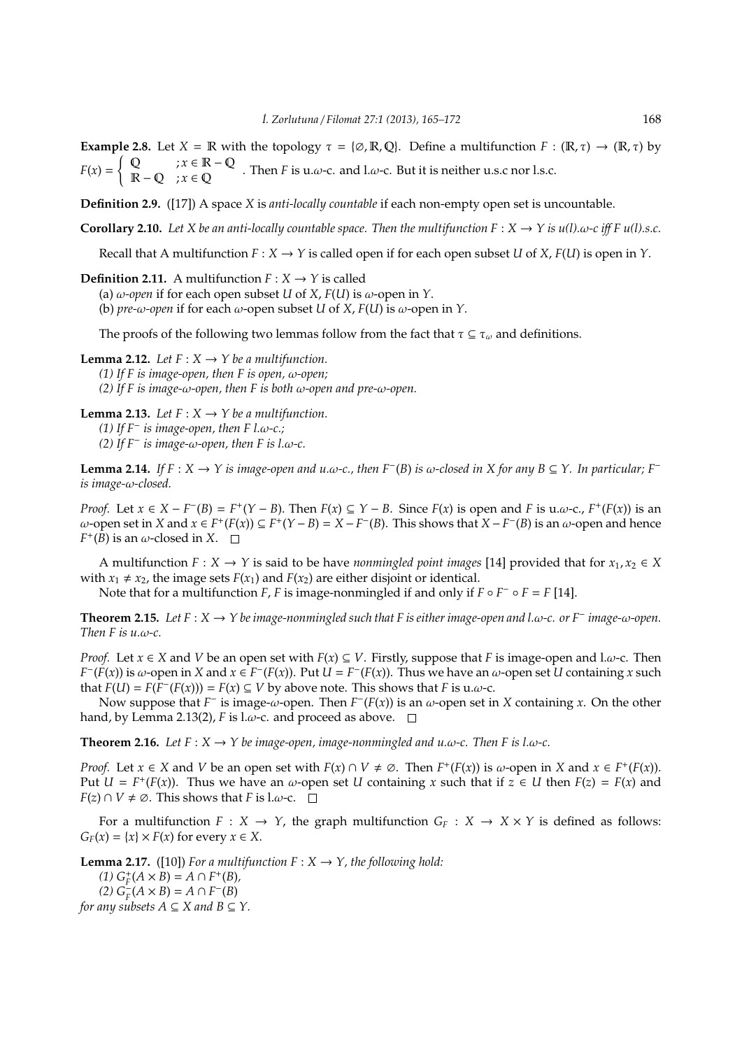**Example 2.8.** Let  $X = \mathbb{R}$  with the topology  $\tau = \{\emptyset, \mathbb{R}, \mathbb{Q}\}\)$ . Define a multifunction  $F : (\mathbb{R}, \tau) \to (\mathbb{R}, \tau)$  by  $F(x) =$  $\int \mathbb{Q}$  ;  $x \in \mathbb{R} - \mathbb{Q}$  $R - Q$  ;  $x \in Q$  . Then *F* is u. $\omega$ -c. and l. $\omega$ -c. But it is neither u.s.c nor l.s.c.

**Definition 2.9.** ([17]) A space *X* is *anti-locally countable* if each non-empty open set is uncountable.

**Corollary 2.10.** Let X be an anti-locally countable space. Then the multifunction  $F : X \to Y$  is  $u(1)$ .ω-c iff  $F u(1)$ .s.c.

Recall that A multifunction  $F : X \to Y$  is called open if for each open subset *U* of *X*,  $F(U)$  is open in *Y*.

**Definition 2.11.** A multifunction  $F: X \rightarrow Y$  is called

(a)  $\omega$ -open if for each open subset *U* of *X*, *F*(*U*) is  $\omega$ -open in *Y*.

(b) *pre-*ω*-open* if for each ω-open subset *U* of *X*, *F*(*U*) is ω-open in *Y*.

The proofs of the following two lemmas follow from the fact that  $\tau \subseteq \tau_\omega$  and definitions.

**Lemma 2.12.** *Let*  $F: X \to Y$  *be a multifunction. (1) If F is image-open, then F is open,* ω*-open; (2) If F is image-*ω*-open, then F is both* ω*-open and pre-*ω*-open.*

**Lemma 2.13.** *Let*  $F: X \rightarrow Y$  *be a multifunction. (1) If F*<sup>−</sup> *is image-open, then F l.*ω*-c.; (2) If F*<sup>−</sup> *is image-*ω*-open, then F is l.*ω*-c.*

**Lemma 2.14.** *If*  $F : X \to Y$  *is image-open and u.ω-c., then*  $F^{-}(B)$  *is ω-closed in*  $X$  *for any*  $B ⊆ Y$ *. In particular;*  $F^{-}$ *is image-*ω*-closed.*

*Proof.* Let  $x \in X - F^{-}(B) = F^{+}(Y - B)$ . Then  $F(x) \subseteq Y - B$ . Since  $F(x)$  is open and F is u. $\omega$ -c.,  $F^{+}(F(x))$  is an  $ω$ -open set in *X* and *x* ∈ *F*<sup>+</sup>(*F*(*x*)) ⊆ *F*<sup>+</sup>(*Y* − *B*) = *X* − *F*<sup>−</sup>(*B*). This shows that *X* − *F*<sup>−</sup>(*B*) is an  $ω$ -open and hence  $F^+(B)$  is an  $\omega$ -closed in *X*.

A multifunction  $F: X \to Y$  is said to be have *nonmingled point images* [14] provided that for  $x_1, x_2 \in X$ with  $x_1 \neq x_2$ , the image sets  $F(x_1)$  and  $F(x_2)$  are either disjoint or identical.

Note that for a multifunction *F*, *F* is image-nonmingled if and only if  $F \circ F^- \circ F = F$  [14].

**Theorem 2.15.** *Let F* : *X* → *Y be image-nonmingled such that F is either image-open and l.*ω*-c. or F*<sup>−</sup> *image-*ω*-open. Then F is u.*ω*-c.*

*Proof.* Let  $x \in X$  and *V* be an open set with  $F(x) \subseteq V$ . Firstly, suppose that *F* is image-open and l. $\omega$ -c. Then  $F^-(F(x))$  is  $\omega$ -open in *X* and  $x \in F^-(F(x))$ . Put  $U = F^-(F(x))$ . Thus we have an  $\omega$ -open set *U* containing *x* such that *F*(*U*) = *F*( $F^-$ (*F*(*x*))) = *F*(*x*) ⊆ *V* by above note. This shows that *F* is u.ω-c.

Now suppose that  $F^-$  is image- $\omega$ -open. Then  $F^-(F(x))$  is an  $\omega$ -open set in *X* containing *x*. On the other hand, by Lemma 2.13(2), *F* is l. $\omega$ -c. and proceed as above.  $\Box$ 

**Theorem 2.16.** *Let*  $F: X \to Y$  *be image-open, image-nonmingled and u.ω-c. Then*  $F$  *is l.ω-c.* 

*Proof.* Let  $x \in X$  and  $V$  be an open set with  $F(x) \cap V \neq \emptyset$ . Then  $F^+(F(x))$  is  $\omega$ -open in  $X$  and  $x \in F^+(F(x))$ . Put  $U = F^+(F(x))$ . Thus we have an  $\omega$ -open set  $U$  containing  $x$  such that if  $z \in U$  then  $F(z) = F(x)$  and *F*(*z*) ∩ *V*  $\neq \emptyset$ . This shows that *F* is l.ω-c.  $\Box$ 

For a multifunction  $F : X \to Y$ , the graph multifunction  $G_F : X \to X \times Y$  is defined as follows:  $G_F(x) = \{x\} \times F(x)$  for every  $x \in X$ .

**Lemma 2.17.** ([10]) For a multifunction  $F : X \rightarrow Y$ , the following hold:

 $(G_F^+(A \times B) = A \cap F^+(B)$ (2)  $G_F^{-}(A \times B) = A ∩ F^{-}(B)$ 

*for any subsets*  $A \subseteq X$  *and*  $B \subseteq Y$ *.*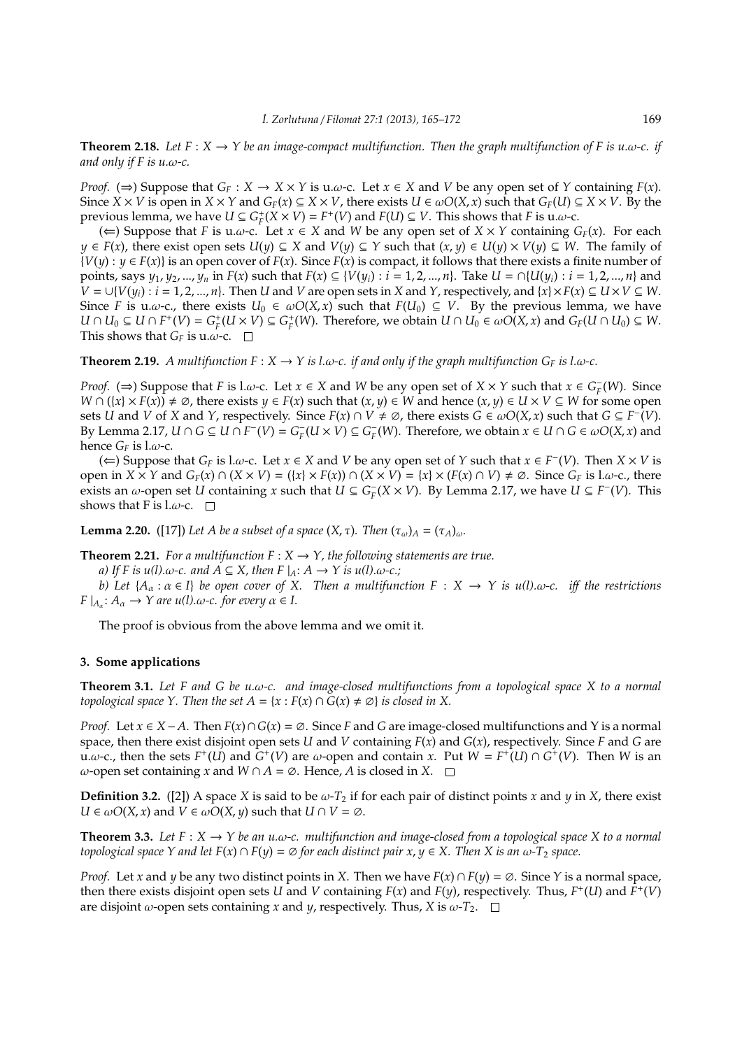**Theorem 2.18.** Let  $F: X \to Y$  be an image-compact multifunction. Then the graph multifunction of F is u.w-c. if *and only if F is u.*ω*-c.*

*Proof.* ( $\Rightarrow$ ) Suppose that  $G_F: X \rightarrow X \times Y$  is u.ω-c. Let  $x \in X$  and *V* be any open set of *Y* containing  $F(x)$ . Since  $X \times V$  is open in  $X \times Y$  and  $G_F(x) \subseteq X \times V$ , there exists  $U \in \omegaO(X, x)$  such that  $G_F(U) \subseteq X \times V$ . By the previous lemma, we have  $U \subseteq G_F^+(X \times V) = F^+(V)$  and  $F(U) \subseteq V$ . This shows that *F* is u. $\omega$ -c.

(∈) Suppose that *F* is u.ω-c. Let  $x \in X$  and *W* be any open set of  $X \times Y$  containing  $G_F(x)$ . For each *y* ∈ *F*(*x*), there exist open sets  $U(y) \subseteq X$  and  $V(y) \subseteq Y$  such that  $(x, y) \in U(y) \times V(y) \subseteq W$ . The family of  ${V(y): y \in F(x)}$  is an open cover of  $F(x)$ . Since  $F(x)$  is compact, it follows that there exists a finite number of points, says  $y_1, y_2, ..., y_n$  in  $F(x)$  such that  $F(x) \subseteq \{V(y_i) : i = 1, 2, ..., n\}$ . Take  $U = \bigcap \{U(y_i) : i = 1, 2, ..., n\}$  and *V* = ∪{ $V(y_i)$  : *i* = 1, 2, ..., *n*}. Then *U* and *V* are open sets in *X* and *Y*, respectively, and {*x*} × *F*(*x*) ⊆ *U* × *V* ⊆ *W*. Since *F* is u.ω-c., there exists  $U_0 \in \omegaO(X, x)$  such that  $F(U_0) \subseteq V$ . By the previous lemma, we have  $U \cap U_0 \subseteq U \cap F^+(V) = G_F^+(U \times V) \subseteq G_F^+(W)$ . Therefore, we obtain  $U \cap U_0 \in \omegaO(X, x)$  and  $G_F(U \cap U_0) \subseteq W$ . This shows that  $G_F$  is u. $\omega$ -c.  $\Box$ 

**Theorem 2.19.** *A multifunction*  $F : X \to Y$  *is l.ω-c. if and only if the graph multifunction*  $G_F$  *is l.ω-c.* 

*Proof.* ( $\Rightarrow$ ) Suppose that *F* is l.ω-c. Let *x* ∈ *X* and *W* be any open set of *X* × *Y* such that *x* ∈ *G*<sub>*F*</sub>(*W*). Since *W* ∩  $(\lbrace x \rbrace \times F(x)) \neq \emptyset$ , there exists *y* ∈ *F*(*x*) such that  $(x, y) \in W$  and hence  $(x, y) \in U \times V \subseteq W$  for some open sets *U* and *V* of *X* and *Y*, respectively. Since  $F(x) \cap V \neq \emptyset$ , there exists  $G \in \omegaO(X,x)$  such that  $G \subseteq F^{-}(V)$ . By Lemma 2.17,  $U \cap G \subseteq U \cap F^-(V) = G_F^-(U \times V) \subseteq G_F^-(W)$ . Therefore, we obtain  $x \in U \cap G \in \omegaO(X, x)$  and hence  $G_F$  is l. $\omega$ -c.

(*∈*) Suppose that *G<sub>F</sub>* is l.ω-c. Let *x* ∈ *X* and *V* be any open set of *Y* such that *x* ∈ *F*<sup>−</sup>(*V*). Then *X* × *V* is open in  $X \times Y$  and  $G_F(x) \cap (X \times V) = (\{x\} \times F(x)) \cap (X \times V) = \{x\} \times (F(x) \cap V) \neq \emptyset$ . Since  $G_F$  is l.w-c., there exists an  $\omega$ -open set *U* containing *x* such that  $U \subseteq G_F^-(X \times V)$ . By Lemma 2.17, we have  $U \subseteq F^-(V)$ . This shows that F is  $l.\omega$ -c.  $\square$ 

**Lemma 2.20.** ([17]) *Let A be a subset of a space*  $(X, \tau)$ *. Then*  $(\tau_{\omega})_A = (\tau_A)_{\omega}$ *.* 

**Theorem 2.21.** *For a multifunction*  $F: X \to Y$ *, the following statements are true.* 

*a)* If F is  $u(l)$ .ω-c. and  $A \subseteq X$ , then  $F|_A: A \to Y$  is  $u(l)$ .ω-c.;

*b)* Let  $\{A_\alpha : \alpha \in I\}$  be open cover of X. Then a multifunction  $F : X \to Y$  is  $u(l)$ .ω-c. iff the restrictions  $F|_{A_\alpha}: A_\alpha \to Y$  are  $u(l)$ .ω-c. for every  $\alpha \in I$ .

The proof is obvious from the above lemma and we omit it.

# **3. Some applications**

**Theorem 3.1.** *Let F and G be u.*ω*-c. and image-closed multifunctions from a topological space X to a normal topological space Y. Then the set*  $A = \{x : F(x) \cap G(x) \neq \emptyset\}$  *is closed in X.* 

*Proof.* Let  $x$  ∈ *X* − *A*. Then  $F(x) \cap G(x) = \emptyset$ . Since *F* and *G* are image-closed multifunctions and *Y* is a normal space, then there exist disjoint open sets *U* and *V* containing *F*(*x*) and *G*(*x*), respectively. Since *F* and *G* are u. $\omega$ -c., then the sets  $F^+(U)$  and  $G^+(V)$  are  $\omega$ -open and contain *x*. Put  $W = F^+(U) \cap G^+(V)$ . Then *W* is an ω-open set containing *x* and *W* ∩ *A* =  $\emptyset$ . Hence, *A* is closed in *X*. □

**Definition 3.2.** ([2]) A space *X* is said to be  $\omega$ -*T*<sub>2</sub> if for each pair of distinct points *x* and *y* in *X*, there exist  $U \in \omega O(X, x)$  and  $V \in \omega O(X, y)$  such that  $U \cap V = \emptyset$ .

**Theorem 3.3.** Let  $F: X \to Y$  be an u. $\omega$ -c. multifunction and image-closed from a topological space X to a normal *topological space Y and let*  $F(x) \cap F(y) = \emptyset$  *for each distinct pair x*,  $y \in X$ . Then X *is an*  $\omega$ -T<sub>2</sub> *space.* 

*Proof.* Let *x* and *y* be any two distinct points in *X*. Then we have  $F(x) \cap F(y) = \emptyset$ . Since *Y* is a normal space, then there exists disjoint open sets *U* and *V* containing  $F(x)$  and  $F(y)$ , respectively. Thus,  $F^+(U)$  and  $F^+(V)$ are disjoint  $\omega$ -open sets containing *x* and *y*, respectively. Thus, *X* is  $\omega$ -*T*<sub>2</sub>.  $\square$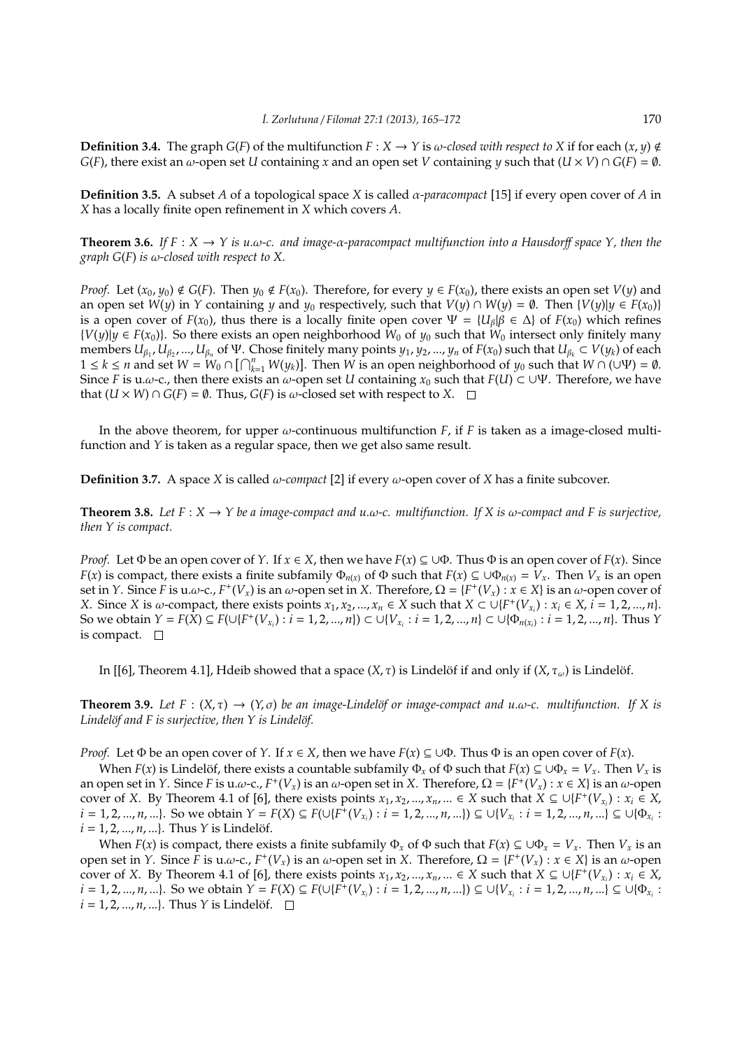**Definition 3.4.** The graph  $G(F)$  of the multifunction  $F: X \to Y$  is  $\omega$ -closed with respect to X if for each  $(x, y) \notin Y$ *G*(*F*), there exist an  $\omega$ -open set *U* containing *x* and an open set *V* containing *y* such that (*U* × *V*) ∩ *G*(*F*) = ∅.

**Definition 3.5.** A subset *A* of a topological space *X* is called α*-paracompact* [15] if every open cover of *A* in *X* has a locally finite open refinement in *X* which covers *A*.

**Theorem 3.6.** *If*  $F : X \to Y$  *is u.ω-c. and image-α-paracompact multifunction into a Hausdorff space*  $Y$ *, then the graph G*(*F*) *is* ω*-closed with respect to X.*

*Proof.* Let  $(x_0, y_0) \notin G(F)$ . Then  $y_0 \notin F(x_0)$ . Therefore, for every  $y \in F(x_0)$ , there exists an open set  $V(y)$  and an open set  $W(y)$  in *Y* containing *y* and  $y_0$  respectively, such that  $V(y) \cap W(y) = \emptyset$ . Then  $\{V(y)|y \in F(x_0)\}$ is a open cover of *F*(*x*<sub>0</sub>), thus there is a locally finite open cover  $\Psi = \{U_\beta | \beta \in \Delta\}$  of *F*(*x*<sub>0</sub>) which refines *V*(*y*)|*y* ∈ *F*(*x*<sub>0</sub>)}. So there exists an open neighborhood *W*<sub>0</sub> of *y*<sub>0</sub> such that *W*<sub>0</sub> intersect only finitely many  $\lim_{\beta_1, \beta_2, \dots, \beta_n} U_{\beta_1}, U_{\beta_2},..., U_{\beta_n}$  of  $\Psi$ . Chose finitely many points  $y_1, y_2,..., y_n$  of  $F(x_0)$  such that  $U_{\beta_k} \subset V(y_k)$  of each  $1 \le k \le n$  and set  $W = W_0 \cap [\bigcap_{k=1}^n W(y_k)]$ . Then  $W$  is an open neighborhood of  $y_0$  such that  $W \cap (\bigcup \Psi) = \emptyset$ . Since *F* is u. $\omega$ -c., then there exists an  $\omega$ -open set *U* containing  $x_0$  such that  $F(U) \subset \cup \Psi$ . Therefore, we have that (*U* × *W*) ∩ *G*(*F*) =  $\emptyset$ . Thus, *G*(*F*) is ω-closed set with respect to *X*. □

In the above theorem, for upper  $\omega$ -continuous multifunction  $F$ , if  $F$  is taken as a image-closed multifunction and *Y* is taken as a regular space, then we get also same result.

**Definition 3.7.** A space *X* is called ω*-compact* [2] if every ω-open cover of *X* has a finite subcover.

**Theorem 3.8.** *Let*  $F: X \to Y$  *be a image-compact and u.w-c. multifunction. If*  $X$  *is w-compact and*  $F$  *is surjective, then Y is compact.*

*Proof.* Let  $\Phi$  be an open cover of *Y*. If  $x \in X$ , then we have  $F(x) \subseteq \bigcup \Phi$ . Thus  $\Phi$  is an open cover of  $F(x)$ . Since *F*(*x*) is compact, there exists a finite subfamily  $\Phi_{n(x)}$  of  $\Phi$  such that  $F(x) \subseteq \bigcup \Phi_{n(x)} = V_x$ . Then  $V_x$  is an open set in *Y*. Since *F* is u. $\omega$ -c.,  $F^+(V_x)$  is an  $\omega$ -open set in *X*. Therefore,  $\Omega = \{F^+(V_x) : x \in X\}$  is an  $\omega$ -open cover of X. Since X is  $\omega$ -compact, there exists points  $x_1, x_2, ..., x_n \in X$  such that  $X \subset \bigcup \{F^+(V_{x_i}) : x_i \in X, i = 1, 2, ..., n\}$ . So we obtain  $Y = F(X) \subseteq F(\bigcup \{F^+(V_{x_i}) : i = 1, 2, ..., n\}) \subset \bigcup \{V_{x_i} : i = 1, 2, ..., n\} \subset \bigcup \{\Phi_{n(x_i)} : i = 1, 2, ..., n\}.$  Thus Y is compact.  $\square$ 

In [[6], Theorem 4.1], Hdeib showed that a space  $(X, \tau)$  is Lindelöf if and only if  $(X, \tau_{\omega})$  is Lindelöf.

**Theorem 3.9.** Let  $F : (X, \tau) \to (Y, \sigma)$  be an image-Lindelöf or image-compact and u.w-c. multifunction. If X is Lindelöf and F is surjective, then Y is Lindelöf.

*Proof.* Let  $\Phi$  be an open cover of *Y*. If  $x \in X$ , then we have  $F(x) \subseteq \bigcup \Phi$ . Thus  $\Phi$  is an open cover of  $F(x)$ .

When *F*(*x*) is Lindelöf, there exists a countable subfamily  $\Phi_x$  of  $\Phi$  such that  $F(x) \subseteq \bigcup \Phi_x = V_x$ . Then  $V_x$  is an open set in *Y*. Since *F* is u. $\omega$ -c.,  $F^+(V_x)$  is an  $\omega$ -open set in *X*. Therefore,  $\Omega = \{F^+(V_x) : x \in X\}$  is an  $\omega$ -open cover of *X*. By Theorem 4.1 of [6], there exists points  $x_1, x_2, ..., x_n, ... \in X$  such that  $X \subseteq \cup \{F^+(V_{x_i}) : x_i \in X$ ,  $i = 1, 2, ..., n, ...$ }. So we obtain  $Y = F(X) \subseteq F(\cup \{F^+(V_{x_i}) : i = 1, 2, ..., n, ...\}) \subseteq \cup \{V_{x_i} : i = 1, 2, ..., n, ...\} \subseteq \cup \{\Phi_{x_i} : \{V_i\}_{i \in \mathcal{N}}\}$  $i = 1, 2, ..., n, ...$ . Thus *Y* is Lindelöf.

When  $F(x)$  is compact, there exists a finite subfamily  $\Phi_x$  of  $\Phi$  such that  $F(x) \subseteq \bigcup \Phi_x = V_x$ . Then  $V_x$  is an open set in *Y*. Since *F* is u.ω-c., *F*<sup>+</sup>(*V*<sub>*x*</sub>) is an ω-open set in *X*. Therefore, Ω = {*F*<sup>+</sup>(*V*<sub>*x*</sub>) : *x* ∈ *X*} is an ω-open cover of *X*. By Theorem 4.1 of [6], there exists points  $x_1, x_2, ..., x_n, ... \in X$  such that  $X \subseteq \cup \{F^+(V_{x_i}) : x_i \in X$ ,  $i = 1, 2, ..., n, ...$ }. So we obtain  $Y = F(X) \subseteq F(\cup \{F^+(V_{x_i}) : i = 1, 2, ..., n, ...\}) \subseteq \cup \{V_{x_i} : i = 1, 2, ..., n, ...\} \subseteq \cup \{\Phi_{x_i} : \Phi_{x_i} = \emptyset\}$  $i = 1, 2, ..., n, ...$ . Thus *Y* is Lindelöf.  $\square$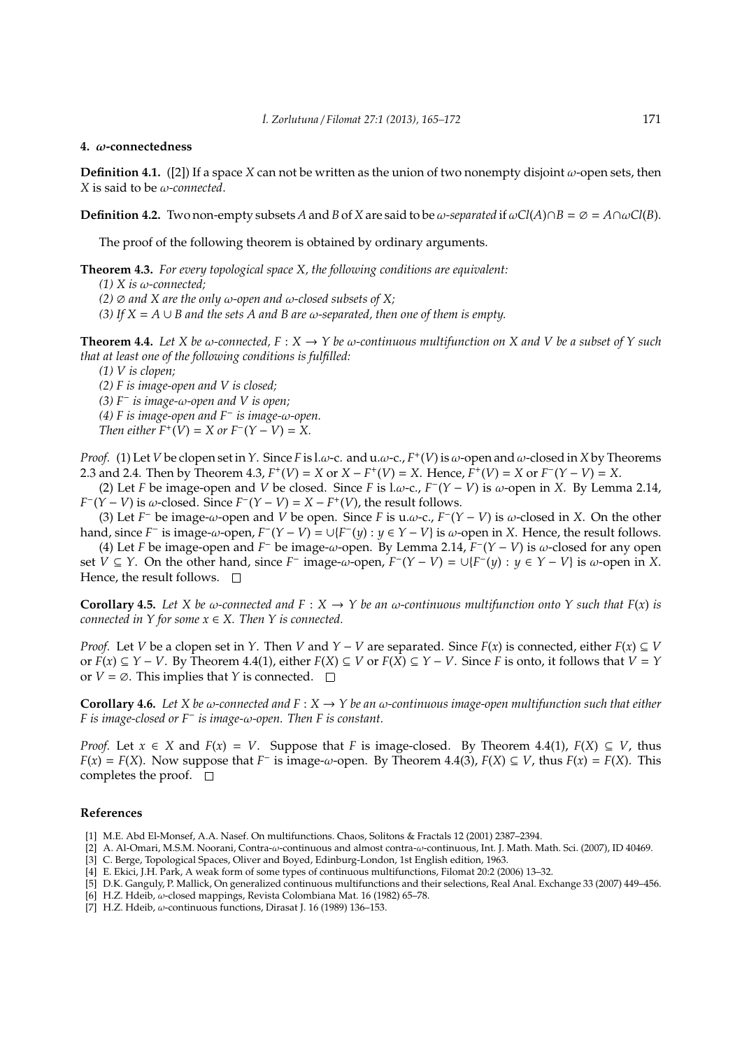#### **4.** ω**-connectedness**

**Definition 4.1.** ([2]) If a space *X* can not be written as the union of two nonempty disjoint  $\omega$ -open sets, then *X* is said to be ω*-connected*.

**Definition 4.2.** Two non-empty subsets *A* and *B* of *X* are said to be  $\omega$ -separated if  $\omega$ Cl(*A*)∩*B* = ∅ =  $A \cap \omega$ Cl(*B*).

The proof of the following theorem is obtained by ordinary arguments.

**Theorem 4.3.** *For every topological space X, the following conditions are equivalent:*

*(1) X is* ω*-connected;*

*(2)*  $\emptyset$  *and X* are the only  $\omega$ -open and  $\omega$ -closed subsets of X;

*(3) If X* = *A* ∪ *B and the sets A and B are* ω*-separated, then one of them is empty.*

**Theorem 4.4.** Let X be  $\omega$ -connected,  $F : X \to Y$  be  $\omega$ -continuous multifunction on X and V be a subset of Y such *that at least one of the following conditions is fulfilled:*

*(1) V is clopen;*

*(2) F is image-open and V is closed;*

*(3) F*<sup>−</sup> *is image-*ω*-open and V is open;*

*(4) F is image-open and F*<sup>−</sup> *is image-*ω*-open.*

*Then either*  $F^+(V) = X$  *or*  $F^-(Y - V) = X$ .

*Proof.* (1) Let *V* be clopen set in *Y*. Since *F* is l.ω-c. and u.ω-c., *F* + (*V*) is ω-open and ω-closed in *X* by Theorems 2.3 and 2.4. Then by Theorem 4.3,  $F^+(V) = X$  or  $X - F^+(V) = X$ . Hence,  $F^+(V) = X$  or  $F^-(Y - V) = X$ .

(2) Let *F* be image-open and *V* be closed. Since *F* is l.ω-c.,  $F^-(Y - V)$  is ω-open in *X*. By Lemma 2.14,  $F^{-}(Y - V)$  is  $\omega$ -closed. Since  $F^{-}(Y - V) = X - F^{+}(V)$ , the result follows.

(3) Let  $F^-$  be image- $\omega$ -open and *V* be open. Since *F* is u. $\omega$ -c.,  $F^-(Y - V)$  is  $\omega$ -closed in *X*. On the other hand, since *F*<sup> $-$ </sup> is image- $\omega$ -open,  $F^-(Y - V) = \cup \{F^-(y) : y \in Y - V\}$  is  $\omega$ -open in *X*. Hence, the result follows.

(4) Let *F* be image-open and *F*<sup>−</sup> be image-ω-open. By Lemma 2.14,  $F^-(Y - V)$  is  $\omega$ -closed for any open set *V* ⊆ *Y*. On the other hand, since *F*<sup>−</sup> image-ω-open,  $F^-(Y - V) = ∪{F^-(y) : y ∈ Y - V}$  is ω-open in *X*. Hence, the result follows.  $\square$ 

**Corollary 4.5.** Let X be  $\omega$ -connected and  $F : X \to Y$  be an  $\omega$ -continuous multifunction onto Y such that  $F(x)$  is *connected in Y for some*  $x \in X$ *. Then Y is connected.* 

*Proof.* Let *V* be a clopen set in *Y*. Then *V* and *Y* − *V* are separated. Since *F*(*x*) is connected, either *F*(*x*) ⊆ *V* or  $F(x) \subseteq Y - V$ . By Theorem 4.4(1), either  $F(X) \subseteq V$  or  $F(X) \subseteq Y - V$ . Since *F* is onto, it follows that  $V = Y$ or  $V = \emptyset$ . This implies that *Y* is connected.  $\Box$ 

**Corollary 4.6.** *Let X be* ω*-connected and F* : *X* → *Y be an* ω*-continuous image-open multifunction such that either F is image-closed or F*<sup>−</sup> *is image-*ω*-open. Then F is constant.*

*Proof.* Let  $x \in X$  and  $F(x) = V$ . Suppose that *F* is image-closed. By Theorem 4.4(1),  $F(X) \subseteq V$ , thus *F*(*x*) = *F*(*X*). Now suppose that *F*<sup>−</sup> is image-ω-open. By Theorem 4.4(3), *F*(*X*) ⊆ *V*, thus *F*(*x*) = *F*(*X*). This completes the proof.  $\square$ 

## **References**

- [1] M.E. Abd El-Monsef, A.A. Nasef. On multifunctions. Chaos, Solitons & Fractals 12 (2001) 2387–2394.
- [2] A. Al-Omari, M.S.M. Noorani, Contra-ω-continuous and almost contra-ω-continuous, Int. J. Math. Math. Sci. (2007), ID 40469.
- [3] C. Berge, Topological Spaces, Oliver and Boyed, Edinburg-London, 1st English edition, 1963.
- [4] E. Ekici, J.H. Park, A weak form of some types of continuous multifunctions, Filomat 20:2 (2006) 13–32.
- [5] D.K. Ganguly, P. Mallick, On generalized continuous multifunctions and their selections, Real Anal. Exchange 33 (2007) 449–456.
- [6] H.Z. Hdeib, ω-closed mappings, Revista Colombiana Mat. 16 (1982) 65–78.
- [7] H.Z. Hdeib, ω-continuous functions, Dirasat J. 16 (1989) 136–153.